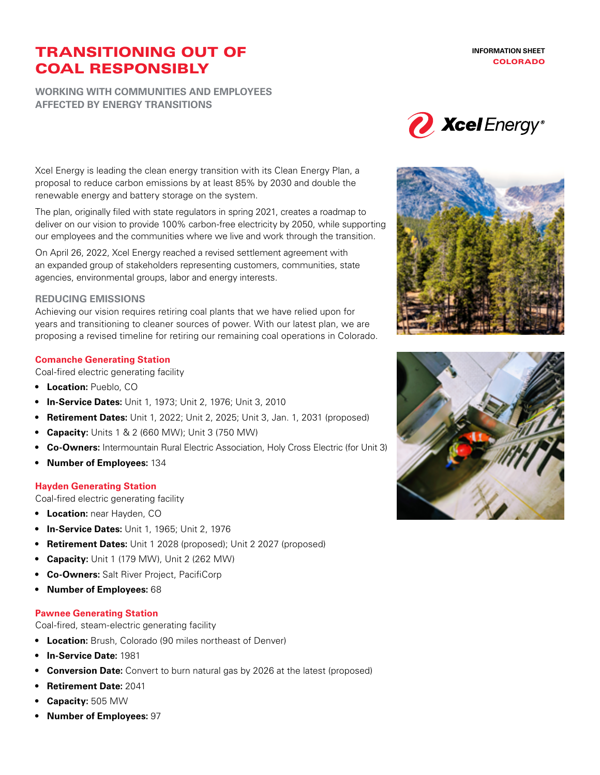# TRANSITIONING OUT OF COAL RESPONSIBLY

**WORKING WITH COMMUNITIES AND EMPLOYEES AFFECTED BY ENERGY TRANSITIONS**





Xcel Energy is leading the clean energy transition with its Clean Energy Plan, a proposal to reduce carbon emissions by at least 85% by 2030 and double the renewable energy and battery storage on the system.

The plan, originally filed with state regulators in spring 2021, creates a roadmap to deliver on our vision to provide 100% carbon-free electricity by 2050, while supporting our employees and the communities where we live and work through the transition.

On April 26, 2022, Xcel Energy reached a revised settlement agreement with an expanded group of stakeholders representing customers, communities, state agencies, environmental groups, labor and energy interests.

#### **REDUCING EMISSIONS**

Achieving our vision requires retiring coal plants that we have relied upon for years and transitioning to cleaner sources of power. With our latest plan, we are proposing a revised timeline for retiring our remaining coal operations in Colorado.

## **Comanche Generating Station**

Coal-fired electric generating facility

- **• Location:** Pueblo, CO
- **• In-Service Dates:** Unit 1, 1973; Unit 2, 1976; Unit 3, 2010
- **• Retirement Dates:** Unit 1, 2022; Unit 2, 2025; Unit 3, Jan. 1, 2031 (proposed)
- **• Capacity:** Units 1 & 2 (660 MW); Unit 3 (750 MW)
- **• Co-Owners:** Intermountain Rural Electric Association, Holy Cross Electric (for Unit 3)
- **• Number of Employees:** 134

## **Hayden Generating Station**

Coal-fired electric generating facility

- **• Location:** near Hayden, CO
- **• In-Service Dates:** Unit 1, 1965; Unit 2, 1976
- **• Retirement Dates:** Unit 1 2028 (proposed); Unit 2 2027 (proposed)
- **• Capacity:** Unit 1 (179 MW), Unit 2 (262 MW)
- **• Co-Owners:** Salt River Project, PacifiCorp
- **• Number of Employees:** 68

## **Pawnee Generating Station**

Coal-fired, steam-electric generating facility

- **• Location:** Brush, Colorado (90 miles northeast of Denver)
- **• In-Service Date:** 1981
- **• Conversion Date:** Convert to burn natural gas by 2026 at the latest (proposed)
- **• Retirement Date:** 2041
- **• Capacity:** 505 MW
- **• Number of Employees:** 97